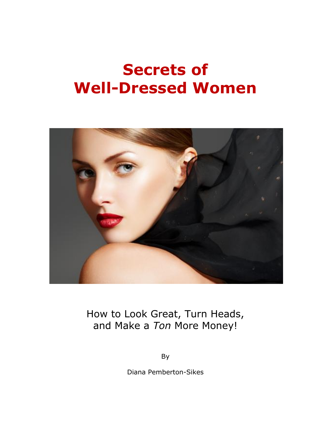

How to Look Great, Turn Heads, and Make a *Ton* More Money!

By

Diana Pemberton-Sikes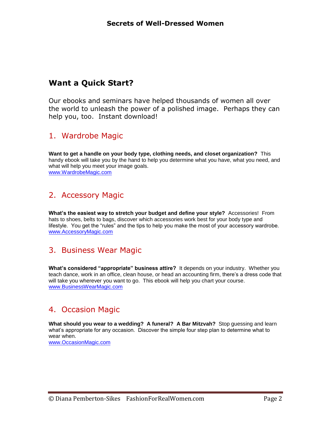# **Want a Quick Start?**

Our ebooks and seminars have helped thousands of women all over the world to unleash the power of a polished image. Perhaps they can help you, too. Instant download!

# 1. Wardrobe Magic

**Want to get a handle on your body type, clothing needs, and closet organization?** This handy ebook will take you by the hand to help you determine what you have, what you need, and what will help you meet your image goals. [www.WardrobeMagic.com](file:///C:/Users/Diana/Documents/Clothing%20Chronicles/www.WardrobeMagic.com)

# 2. Accessory Magic

**What's the easiest way to stretch your budget and define your style?** Accessories! From hats to shoes, belts to bags, discover which accessories work best for your body type and lifestyle. You get the "rules" and the tips to help you make the most of your accessory wardrobe. [www.AccessoryMagic.com](http://www.accessorymagic.com/) 

# 3. Business Wear Magic

**What's considered "appropriate" business attire?** It depends on your industry. Whether you teach dance, work in an office, clean house, or head an accounting firm, there's a dress code that will take you wherever you want to go. This ebook will help you chart your course. [www.BusinessWearMagic.com](http://www.businesswearmagic.com/)

# 4. Occasion Magic

**What should you wear to a wedding? A funeral? A Bar Mitzvah?** Stop guessing and learn what's appropriate for any occasion. Discover the simple four step plan to determine what to wear when.

[www.OccasionMagic.com](http://www.occasionmagic.com/)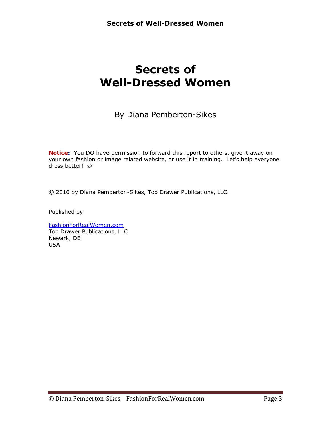By Diana Pemberton-Sikes

**Notice:** You DO have permission to forward this report to others, give it away on your own fashion or image related website, or use it in training. Let's help everyone dress better!

© 2010 by Diana Pemberton-Sikes, Top Drawer Publications, LLC.

Published by:

[FashionForRealWomen.com](http://www.fashionforrealwomen.com/) Top Drawer Publications, LLC Newark, DE USA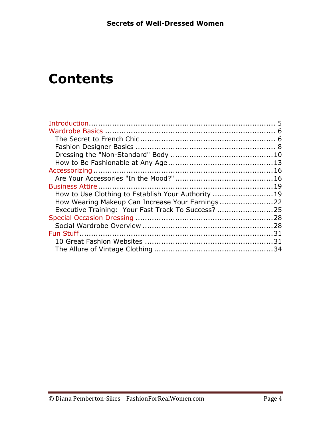# **Contents**

| How to Use Clothing to Establish Your Authority 19 |  |
|----------------------------------------------------|--|
|                                                    |  |
| Executive Training: Your Fast Track To Success? 25 |  |
|                                                    |  |
|                                                    |  |
|                                                    |  |
|                                                    |  |
|                                                    |  |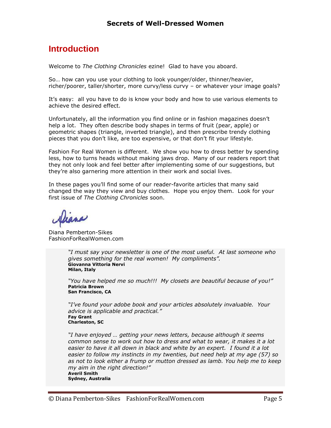# <span id="page-4-0"></span>**Introduction**

Welcome to *The Clothing Chronicles* ezine! Glad to have you aboard.

So… how can you use your clothing to look younger/older, thinner/heavier, richer/poorer, taller/shorter, more curvy/less curvy – or whatever your image goals?

It's easy: all you have to do is know your body and how to use various elements to achieve the desired effect.

Unfortunately, all the information you find online or in fashion magazines doesn't help a lot. They often describe body shapes in terms of fruit (pear, apple) or geometric shapes (triangle, inverted triangle), and then prescribe trendy clothing pieces that you don't like, are too expensive, or that don't fit your lifestyle.

Fashion For Real Women is different. We show you how to dress better by spending less, how to turns heads without making jaws drop. Many of our readers report that they not only look and feel better after implementing some of our suggestions, but they're also garnering more attention in their work and social lives.

In these pages you'll find some of our reader-favorite articles that many said changed the way they view and buy clothes. Hope you enjoy them. Look for your first issue of *The Clothing Chronicles* soon.

VIRAN

Diana Pemberton-Sikes FashionForRealWomen.com

*"I must say your newsletter is one of the most useful. At last someone who gives something for the real women! My compliments".* **Giovanna Vittoria Nervi Milan, Italy**

*"You have helped me so much!!! My closets are beautiful because of you!"* **Patricia Brown San Francisco, CA**

*"I've found your adobe book and your articles absolutely invaluable. Your advice is applicable and practical."* **Fay Grant Charleston, SC**

*"I have enjoyed … getting your news letters, because although it seems common sense to work out how to dress and what to wear, it makes it a lot easier to have it all down in black and white by an expert. I found it a lot easier to follow my instincts in my twenties, but need help at my age (57) so as not to look either a frump or mutton dressed as lamb. You help me to keep my aim in the right direction!"* **Averil Smith Sydney, Australia**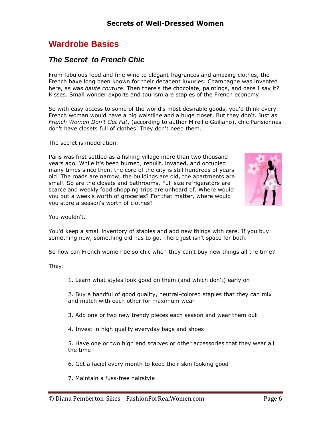# <span id="page-5-0"></span>**Wardrobe Basics**

### <span id="page-5-1"></span>*The Secret to French Chic*

From fabulous food and fine wine to elegant fragrances and amazing clothes, the French have long been known for their decadent luxuries. Champagne was invented here, as was *haute couture*. Then there's the chocolate, paintings, and dare I say it? Kisses. Small wonder exports and tourism are staples of the French economy.

So with easy access to some of the world's most desirable goods, you'd think every French woman would have a big waistline and a huge closet. But they don't. Just as *French Women Don't Get Fat*, (according to author Mireille Guiliano), chic Parisiennes don't have closets full of clothes. They don't need them.

The secret is moderation.

Paris was first settled as a fishing village more than two thousand years ago. While it's been burned, rebuilt, invaded, and occupied many times since then, the core of the city is still hundreds of years old. The roads are narrow, the buildings are old, the apartments are small. So are the closets and bathrooms. Full size refrigerators are scarce and weekly food shopping trips are unheard of. Where would you put a week's worth of groceries? For that matter, where would you store a season's worth of clothes?



You wouldn't.

You'd keep a small inventory of staples and add new things with care. If you buy something new, something old has to go. There just isn't space for both.

So how can French women be so chic when they can't buy new things all the time?

They:

1. Learn what styles look good on them (and which don't) early on

2. Buy a handful of good quality, neutral-colored staples that they can mix and match with each other for maximum wear

- 3. Add one or two new trendy pieces each season and wear them out
- 4. Invest in high quality everyday bags and shoes

5. Have one or two high end scarves or other accessories that they wear all the time

6. Get a facial every month to keep their skin looking good

7. Maintain a fuss-free hairstyle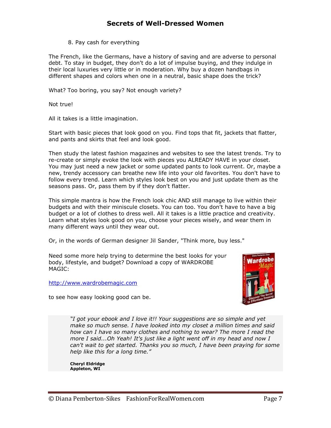#### 8. Pay cash for everything

The French, like the Germans, have a history of saving and are adverse to personal debt. To stay in budget, they don't do a lot of impulse buying, and they indulge in their local luxuries very little or in moderation. Why buy a dozen handbags in different shapes and colors when one in a neutral, basic shape does the trick?

What? Too boring, you say? Not enough variety?

Not true!

All it takes is a little imagination.

Start with basic pieces that look good on you. Find tops that fit, jackets that flatter, and pants and skirts that feel and look good.

Then study the latest fashion magazines and websites to see the latest trends. Try to re-create or simply evoke the look with pieces you ALREADY HAVE in your closet. You may just need a new jacket or some updated pants to look current. Or, maybe a new, trendy accessory can breathe new life into your old favorites. You don't have to follow every trend. Learn which styles look best on you and just update them as the seasons pass. Or, pass them by if they don't flatter.

This simple mantra is how the French look chic AND still manage to live within their budgets and with their miniscule closets. You can too. You don't have to have a big budget or a lot of clothes to dress well. All it takes is a little practice and creativity. Learn what styles look good on you, choose your pieces wisely, and wear them in many different ways until they wear out.

Or, in the words of German designer Jil Sander, "Think more, buy less."

Need some more help trying to determine the best looks for your body, lifestyle, and budget? Download a copy of WARDROBE MAGIC:

[http://www.wardrobemagic.com](http://www.wardrobemagic.com/)

to see how easy looking good can be.



*"I got your ebook and I love it!! Your suggestions are so simple and yet make so much sense. I have looked into my closet a million times and said how can I have so many clothes and nothing to wear? The more I read the more I said...Oh Yeah! It's just like a light went off in my head and now I can't wait to get started. Thanks you so much, I have been praying for some help like this for a long time."*

**Cheryl Eldridge Appleton, WI**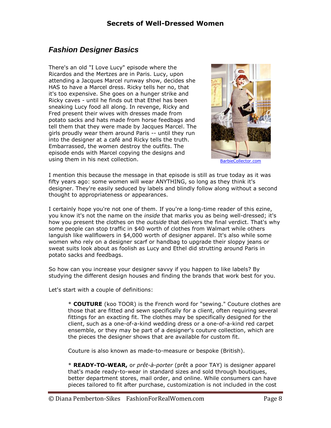# <span id="page-7-0"></span>*Fashion Designer Basics*

There's an old "I Love Lucy" episode where the Ricardos and the Mertzes are in Paris. Lucy, upon attending a Jacques Marcel runway show, decides she HAS to have a Marcel dress. Ricky tells her no, that it's too expensive. She goes on a hunger strike and Ricky caves - until he finds out that Ethel has been sneaking Lucy food all along. In revenge, Ricky and Fred present their wives with dresses made from potato sacks and hats made from horse feedbags and tell them that they were made by Jacques Marcel. The girls proudly wear them around Paris -- until they run into the designer at a café and Ricky tells the truth. Embarrassed, the women destroy the outfits. The episode ends with Marcel copying the designs and using them in his next collection. [BarbieCollector.com](http://www.barbiecollector.com/showcase/product.asp?product_id=1001854&series_id=150054)



I mention this because the message in that episode is still as true today as it was fifty years ago: some women will wear ANYTHING, so long as they think it's designer. They're easily seduced by labels and blindly follow along without a second thought to appropriateness or appearances.

I certainly hope you're not one of them. If you're a long-time reader of this ezine, you know it's not the name on the *inside* that marks you as being well-dressed; it's how you present the clothes on the *outside* that delivers the final verdict. That's why some people can stop traffic in \$40 worth of clothes from Walmart while others languish like wallflowers in \$4,000 worth of designer apparel. It's also while some women who rely on a designer scarf or handbag to upgrade their sloppy jeans or sweat suits look about as foolish as Lucy and Ethel did strutting around Paris in potato sacks and feedbags.

So how can you increase your designer savvy if you happen to like labels? By studying the different design houses and finding the brands that work best for you.

Let's start with a couple of definitions:

\* **COUTURE** (koo TOOR) is the French word for "sewing." Couture clothes are those that are fitted and sewn specifically for a client, often requiring several fittings for an exacting fit. The clothes may be specifically designed for the client, such as a one-of-a-kind wedding dress or a one-of-a-kind red carpet ensemble, or they may be part of a designer's couture collection, which are the pieces the designer shows that are available for custom fit.

Couture is also known as made-to-measure or bespoke (British).

\* **READY-TO-WEAR,** or *prêt-à-porter* (prêt a poor TAY) is designer apparel that's made ready-to-wear in standard sizes and sold through boutiques, better department stores, mail order, and online. While consumers can have pieces tailored to fit after purchase, customization is not included in the cost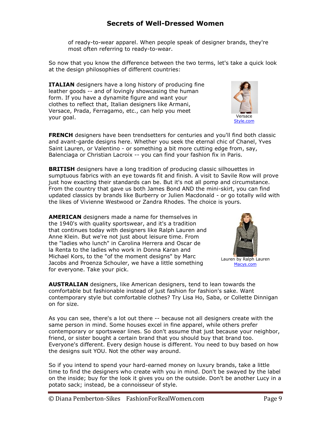of ready-to-wear apparel. When people speak of designer brands, they're most often referring to ready-to-wear.

So now that you know the difference between the two terms, let's take a quick look at the design philosophies of different countries:

**ITALIAN** designers have a long history of producing fine leather goods -- and of lovingly showcasing the human form. If you have a dynamite figure and want your clothes to reflect that, Italian designers like Armani, Versace, Prada, Ferragamo, etc., can help you meet your goal.

**FRENCH** designers have been trendsetters for centuries and you'll find both classic and avant-garde designs here. Whether you seek the eternal chic of Chanel, Yves Saint Lauren, or Valentino - or something a bit more cutting edge from, say, Balenciaga or Christian Lacroix -- you can find your fashion fix in Paris.

**BRITISH** designers have a long tradition of producing classic silhouettes in sumptuous fabrics with an eye towards fit and finish. A visit to Savile Row will prove just how exacting their standards can be. But it's not all pomp and circumstance. From the country that gave us both James Bond AND the mini-skirt, you can find updated classics by brands like Burberry or Julien Macdonald - or go totally wild with the likes of Vivienne Westwood or Zandra Rhodes. The choice is yours.

**AMERICAN** designers made a name for themselves in the 1940's with quality sportswear, and it's a tradition that continues today with designers like Ralph Lauren and Anne Klein. But we're not just about leisure time. From the "ladies who lunch" in Carolina Herrera and Oscar de la Renta to the ladies who work in Donna Karan and Michael Kors, to the "of the moment designs" by Marc Jacobs and Proenza Schouler, we have a little something for everyone. Take your pick.

**AUSTRALIAN** designers, like American designers, tend to lean towards the comfortable but fashionable instead of just fashion for fashion's sake. Want contemporary style but comfortable clothes? Try Lisa Ho, Saba, or Collette Dinnigan on for size.

As you can see, there's a lot out there -- because not all designers create with the same person in mind. Some houses excel in fine apparel, while others prefer contemporary or sportswear lines. So don't assume that just because your neighbor, friend, or sister bought a certain brand that you should buy that brand too. Everyone's different. Every design house is different. You need to buy based on how the designs suit YOU. Not the other way around.

So if you intend to spend your hard-earned money on luxury brands, take a little time to find the designers who create with you in mind. Don't be swayed by the label on the inside; buy for the look it gives you on the outside. Don't be another Lucy in a potato sack; instead, be a connoisseur of style.



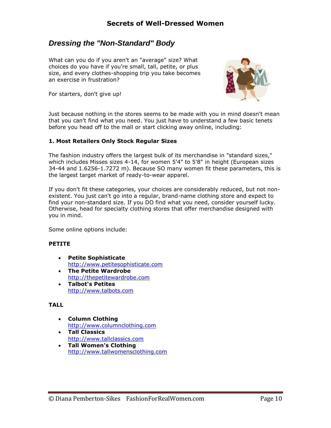## <span id="page-9-0"></span>*Dressing the "Non-Standard" Body*

What can you do if you aren't an "average" size? What choices do you have if you're small, tall, petite, or plus size, and every clothes-shopping trip you take becomes an exercise in frustration?

For starters, don't give up!



Just because nothing in the stores seems to be made with you in mind doesn't mean that you can't find what you need. You just have to understand a few basic tenets before you head off to the mall or start clicking away online, including:

#### **1. Most Retailers Only Stock Regular Sizes**

The fashion industry offers the largest bulk of its merchandise in "standard sizes," which includes Misses sizes 4-14, for women 5'4" to 5'8" in height (European sizes 34-44 and 1.6256-1.7272 m). Because SO many women fit these parameters, this is the largest target market of ready-to-wear apparel.

If you don't fit these categories, your choices are considerably reduced, but not nonexistent. You just can't go into a regular, brand-name clothing store and expect to find your non-standard size. If you DO find what you need, consider yourself lucky. Otherwise, head for specialty clothing stores that offer merchandise designed with you in mind.

Some online options include:

#### **PETITE**

- **Petite Sophisticate** [http://www.petitesophisticate.com](http://www.petitesophisticate.com/)
- **The Petite Wardrobe** [http://thepetitewardrobe.com](http://thepetitewardrobe.com/)
- **Talbot's Petites** [http://www.talbots.com](http://www.talbots.com/)

#### **TALL**

- **Column Clothing** [http://www.columnclothing.com](http://www.columnclothing.com/)
- **Tall Classics** [http://www.tallclassics.com](http://www.tallclassics.com/)
- **Tall Women's Clothing** [http://www.tallwomensclothing.com](http://www.tallwomensclothing.com/)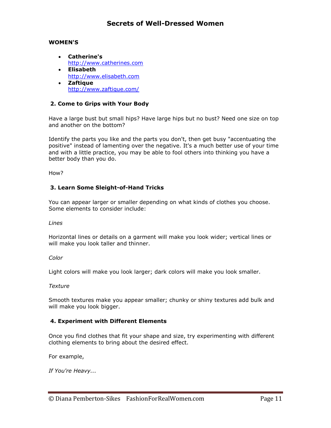#### **WOMEN'S**

- **Catherine's** [http://www.catherines.com](http://www.catherines.com/)
- **Elisabeth** [http://www.elisabeth.com](http://www.elisabeth.com/)
- **Zaftique** <http://www.zaftique.com/>

#### **2. Come to Grips with Your Body**

Have a large bust but small hips? Have large hips but no bust? Need one size on top and another on the bottom?

Identify the parts you like and the parts you don't, then get busy "accentuating the positive" instead of lamenting over the negative. It's a much better use of your time and with a little practice, you may be able to fool others into thinking you have a better body than you do.

How?

#### **3. Learn Some Sleight-of-Hand Tricks**

You can appear larger or smaller depending on what kinds of clothes you choose. Some elements to consider include:

*Lines*

Horizontal lines or details on a garment will make you look wider; vertical lines or will make you look taller and thinner.

#### *Color*

Light colors will make you look larger; dark colors will make you look smaller.

#### *Texture*

Smooth textures make you appear smaller; chunky or shiny textures add bulk and will make you look bigger.

#### **4. Experiment with Different Elements**

Once you find clothes that fit your shape and size, try experimenting with different clothing elements to bring about the desired effect.

For example,

*If You're Heavy...*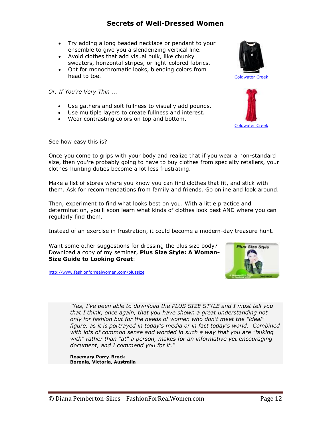- Try adding a long beaded necklace or pendant to your ensemble to give you a slenderizing vertical line.
- Avoid clothes that add visual bulk, like chunky sweaters, horizontal stripes, or light-colored fabrics.
- Opt for monochromatic looks, blending colors from head to toe. [Coldwater Creek](http://click.linksynergy.com/fs-bin/click?id=vMQkE6mhmt8&offerid=29237.10000005&type=3&subid=0)

*Or, If You're Very Thin ...*

- Use gathers and soft fullness to visually add pounds.
- Use multiple layers to create fullness and interest.
- Wear contrasting colors on top and bottom.





See how easy this is?

Once you come to grips with your body and realize that if you wear a non-standard size, then you're probably going to have to buy clothes from specialty retailers, your clothes-hunting duties become a lot less frustrating.

Make a list of stores where you know you can find clothes that fit, and stick with them. Ask for recommendations from family and friends. Go online and look around.

Then, experiment to find what looks best on you. With a little practice and determination, you'll soon learn what kinds of clothes look best AND where you can regularly find them.

Instead of an exercise in frustration, it could become a modern-day treasure hunt.

Want some other suggestions for dressing the plus size body? Download a copy of my seminar, **Plus Size Style: A Woman-Size Guide to Looking Great**:

<http://www.fashionforrealwomen.com/plussize>



*"Yes, I've been able to download the PLUS SIZE STYLE and I must tell you that I think, once again, that you have shown a great understanding not only for fashion but for the needs of women who don't meet the "ideal" figure, as it is portrayed in today's media or in fact today's world. Combined with lots of common sense and worded in such a way that you are "talking with" rather than "at" a person, makes for an informative yet encouraging document, and I commend you for it."*

**Rosemary Parry-Brock Boronia, Victoria, Australia**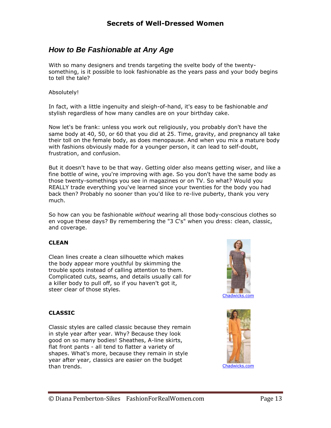# <span id="page-12-0"></span>*How to Be Fashionable at Any Age*

With so many designers and trends targeting the svelte body of the twentysomething, is it possible to look fashionable as the years pass and your body begins to tell the tale?

#### Absolutely!

In fact, with a little ingenuity and sleigh-of-hand, it's easy to be fashionable *and* stylish regardless of how many candles are on your birthday cake.

Now let's be frank: unless you work out religiously, you probably don't have the same body at 40, 50, or 60 that you did at 25. Time, gravity, and pregnancy all take their toll on the female body, as does menopause. And when you mix a mature body with fashions obviously made for a younger person, it can lead to self-doubt, frustration, and confusion.

But it doesn't have to be that way. Getting older also means getting wiser, and like a fine bottle of wine, you're improving with age. So you don't have the same body as those twenty-somethings you see in magazines or on TV. So what? Would you REALLY trade everything you've learned since your twenties for the body you had back then? Probably no sooner than you'd like to re-live puberty, thank you very much.

So how can you be fashionable *without* wearing all those body-conscious clothes so en vogue these days? By remembering the "3 C's" when you dress: clean, classic, and coverage.

#### **CLEAN**

Clean lines create a clean silhouette which makes the body appear more youthful by skimming the trouble spots instead of calling attention to them. Complicated cuts, seams, and details usually call for a killer body to pull off, so if you haven't got it, steer clear of those styles.



#### **CLASSIC**

Classic styles are called classic because they remain in style year after year. Why? Because they look good on so many bodies! Sheathes, A-line skirts, flat front pants - all tend to flatter a variety of shapes. What's more, because they remain in style year after year, classics are easier on the budget than trends. The contract of the contract of the chadwicks.com chadwicks.com

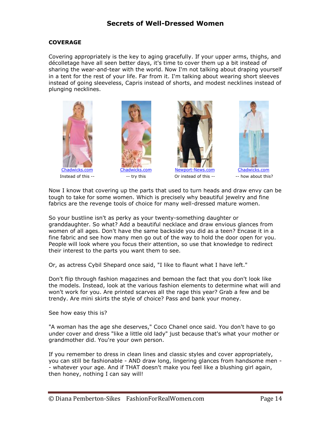#### **COVERAGE**

Covering appropriately is the key to aging gracefully. If your upper arms, thighs, and décolletage have all seen better days, it's time to cover them up a bit instead of sharing the wear-and-tear with the world. Now I'm not talking about draping yourself in a tent for the rest of your life. Far from it. I'm talking about wearing short sleeves instead of going sleeveless, Capris instead of shorts, and modest necklines instead of plunging necklines.







Instead of this -- Try this Or instead of this -- -- how about this?



Now I know that covering up the parts that used to turn heads and draw envy can be tough to take for some women. Which is precisely why beautiful jewelry and fine fabrics are the revenge tools of choice for many well-dressed mature women.

So your bustline isn't as perky as your twenty-something daughter or granddaughter. So what? Add a beautiful necklace and draw envious glances from women of all ages. Don't have the same backside you did as a teen? Encase it in a fine fabric and see how many men go out of the way to hold the door open for you. People will look where you focus their attention, so use that knowledge to redirect their interest to the parts you want them to see.

Or, as actress Cybil Shepard once said, "I like to flaunt what I have left."

Don't flip through fashion magazines and bemoan the fact that you don't look like the models. Instead, look at the various fashion elements to determine what will and won't work for you. Are printed scarves all the rage this year? Grab a few and be trendy. Are mini skirts the style of choice? Pass and bank your money.

See how easy this is?

"A woman has the age she deserves," Coco Chanel once said. You don't have to go under cover and dress "like a little old lady" just because that's what your mother or grandmother did. You're your own person.

If you remember to dress in clean lines and classic styles and cover appropriately, you can still be fashionable - AND draw long, lingering glances from handsome men - - whatever your age. And if THAT doesn't make you feel like a blushing girl again, then honey, nothing I can say will!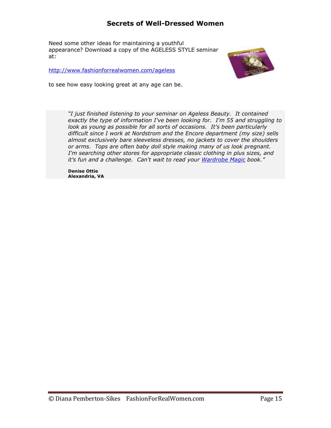Need some other ideas for maintaining a youthful appearance? Download a copy of the AGELESS STYLE seminar at:

<http://www.fashionforrealwomen.com/ageless>



to see how easy looking great at any age can be.

*"I just finished listening to your seminar on Ageless Beauty. It contained exactly the type of information I've been looking for. I'm 55 and struggling to look as young as possible for all sorts of occasions. It's been particularly difficult since I work at Nordstrom and the Encore department (my size) sells almost exclusively bare sleeveless dresses, no jackets to cover the shoulders or arms. Tops are often baby doll style making many of us look pregnant. I'm searching other stores for appropriate classic clothing in plus sizes, and it's fun and a challenge. Can't wait to read your [Wardrobe Magic](http://www.wardrobemagic.com/) book."*

**Denise Ottie Alexandria, VA**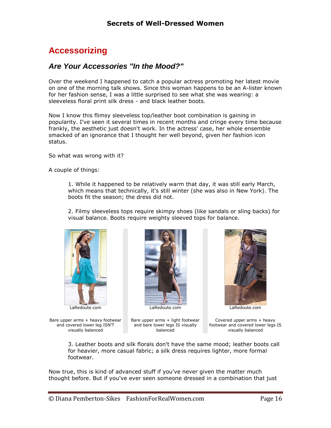# <span id="page-15-0"></span>**Accessorizing**

## <span id="page-15-1"></span>*Are Your Accessories "In the Mood?"*

Over the weekend I happened to catch a popular actress promoting her latest movie on one of the morning talk shows. Since this woman happens to be an A-lister known for her fashion sense, I was a little surprised to see what she was wearing: a sleeveless floral print silk dress - and black leather boots.

Now I know this flimsy sleeveless top/leather boot combination is gaining in popularity. I've seen it several times in recent months and cringe every time because frankly, the aesthetic just doesn't work. In the actress' case, her whole ensemble smacked of an ignorance that I thought her well beyond, given her fashion icon status.

So what was wrong with it?

A couple of things:

1. While it happened to be relatively warm that day, it was still early March, which means that technically, it's still winter (she was also in New York). The boots fit the season; the dress did not.

2. Filmy sleeveless tops require skimpy shoes (like sandals or sling backs) for visual balance. Boots require weighty sleeved tops for balance.



LaRedoute.com

Bare upper arms + heavy footwear and covered lower leg ISN'T visually balanced



Bare upper arms + light footwear and bare lower legs IS visually balanced



Covered upper arms + heavy footwear and covered lower legs IS

visually balanced

3. Leather boots and silk florals don't have the same mood; leather boots call for heavier, more casual fabric; a silk dress requires lighter, more formal footwear.

Now true, this is kind of advanced stuff if you've never given the matter much thought before. But if you've ever seen someone dressed in a combination that just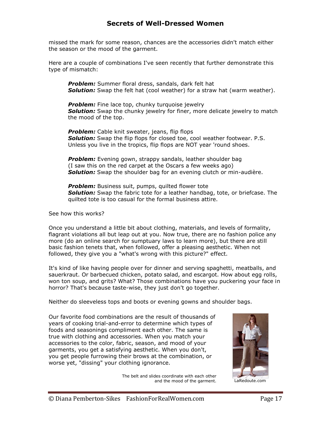missed the mark for some reason, chances are the accessories didn't match either the season or the mood of the garment.

Here are a couple of combinations I've seen recently that further demonstrate this type of mismatch:

*Problem:* Summer floral dress, sandals, dark felt hat *Solution:* Swap the felt hat (cool weather) for a straw hat (warm weather).

**Problem:** Fine lace top, chunky turquoise jewelry *Solution:* Swap the chunky jewelry for finer, more delicate jewelry to match the mood of the top.

*Problem:* Cable knit sweater, jeans, flip flops *Solution:* Swap the flip flops for closed toe, cool weather footwear. P.S. Unless you live in the tropics, flip flops are NOT year 'round shoes.

**Problem:** Evening gown, strappy sandals, leather shoulder bag (I saw this on the red carpet at the Oscars a few weeks ago) *Solution:* Swap the shoulder bag for an evening clutch or min-audière.

**Problem:** Business suit, pumps, quilted flower tote *Solution:* Swap the fabric tote for a leather handbag, tote, or briefcase. The quilted tote is too casual for the formal business attire.

See how this works?

Once you understand a little bit about clothing, materials, and levels of formality, flagrant violations all but leap out at you. Now true, there are no fashion police any more (do an online search for sumptuary laws to learn more), but there are still basic fashion tenets that, when followed, offer a pleasing aesthetic. When not followed, they give you a "what's wrong with this picture?" effect.

It's kind of like having people over for dinner and serving spaghetti, meatballs, and sauerkraut. Or barbecued chicken, potato salad, and escargot. How about egg rolls, won ton soup, and grits? What? Those combinations have you puckering your face in horror? That's because taste-wise, they just don't go together.

Neither do sleeveless tops and boots or evening gowns and shoulder bags.

Our favorite food combinations are the result of thousands of years of cooking trial-and-error to determine which types of foods and seasonings compliment each other. The same is true with clothing and accessories. When you match your accessories to the color, fabric, season, and mood of your garments, you get a satisfying aesthetic. When you don't, you get people furrowing their brows at the combination, or worse yet, "dissing" your clothing ignorance.

> The belt and slides coordinate with each other and the mood of the garment. LaRedoute.com

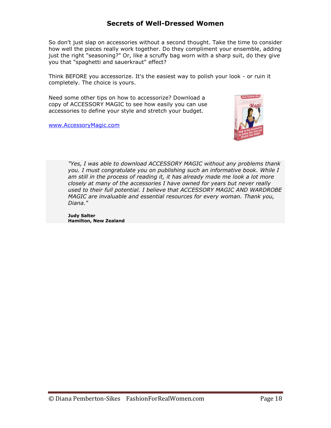So don't just slap on accessories without a second thought. Take the time to consider how well the pieces really work together. Do they compliment your ensemble, adding just the right "seasoning?" Or, like a scruffy bag worn with a sharp suit, do they give you that "spaghetti and sauerkraut" effect?

Think BEFORE you accessorize. It's the easiest way to polish your look - or ruin it completely. The choice is yours.

Need some other tips on how to accessorize? Download a copy of ACCESSORY MAGIC to see how easily you can use accessories to define your style and stretch your budget.

[www.AccessoryMagic.com](http://www.accessorymagic.com/)



*"Yes, I was able to download ACCESSORY MAGIC without any problems thank you. I must congratulate you on publishing such an informative book. While I am still in the process of reading it, it has already made me look a lot more closely at many of the accessories I have owned for years but never really used to their full potential. I believe that ACCESSORY MAGIC AND WARDROBE MAGIC are invaluable and essential resources for every woman. Thank you, Diana."*

**Judy Salter Hamilton, New Zealand**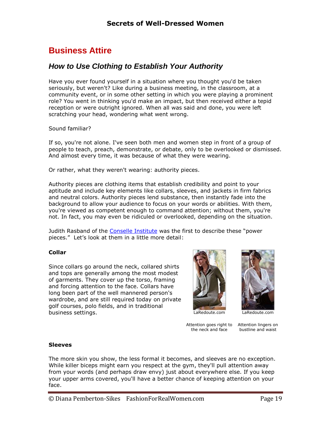# <span id="page-18-0"></span>**Business Attire**

# <span id="page-18-1"></span>*How to Use Clothing to Establish Your Authority*

Have you ever found yourself in a situation where you thought you'd be taken seriously, but weren't? Like during a business meeting, in the classroom, at a community event, or in some other setting in which you were playing a prominent role? You went in thinking you'd make an impact, but then received either a tepid reception or were outright ignored. When all was said and done, you were left scratching your head, wondering what went wrong.

#### Sound familiar?

If so, you're not alone. I've seen both men and women step in front of a group of people to teach, preach, demonstrate, or debate, only to be overlooked or dismissed. And almost every time, it was because of what they were wearing.

Or rather, what they weren't wearing: authority pieces.

Authority pieces are clothing items that establish credibility and point to your aptitude and include key elements like collars, sleeves, and jackets in firm fabrics and neutral colors. Authority pieces lend substance, then instantly fade into the background to allow your audience to focus on your words or abilities. With them, you're viewed as competent enough to command attention; without them, you're not. In fact, you may even be ridiculed or overlooked, depending on the situation.

Judith Rasband of the [Conselle Institute](http://www.conselle.com/) was the first to describe these "power pieces." Let's look at them in a little more detail:

#### **Collar**

Since collars go around the neck, collared shirts and tops are generally among the most modest of garments. They cover up the torso, framing and forcing attention to the face. Collars have long been part of the well mannered person's wardrobe, and are still required today on private golf courses, polo fields, and in traditional business settings. LaRedoute.com



[LaRedoute.com](http://clickserve.cc-dt.com/link/click?lid=41000000009337432)

Attention goes right to Attention lingers on the neck and face

bustline and waist

#### **Sleeves**

The more skin you show, the less formal it becomes, and sleeves are no exception. While killer biceps might earn you respect at the gym, they'll pull attention away from your words (and perhaps draw envy) just about everywhere else. If you keep your upper arms covered, you'll have a better chance of keeping attention on your face.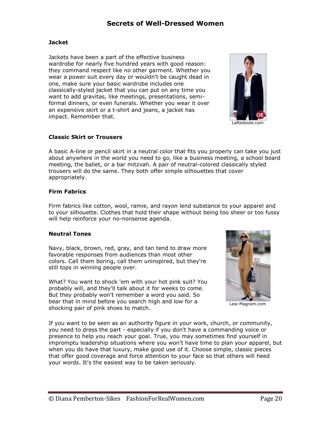#### **Jacket**

Jackets have been a part of the effective business wardrobe for nearly five hundred years with good reason: they command respect like no other garment. Whether you wear a power suit every day or wouldn't be caught dead in one, make sure your basic wardrobe includes one classically-styled jacket that you can put on any time you want to add gravitas, like meetings, presentations, semiformal dinners, or even funerals. Whether you wear it over an expensive skirt or a t-shirt and jeans, a jacket has impact. Remember that.



**Classic Skirt or Trousers**

A basic A-line or pencil skirt in a neutral color that fits you properly can take you just about anywhere in the world you need to go, like a business meeting, a school board meeting, the ballet, or a bar mitzvah. A pair of neutral-colored classically styled trousers will do the same. They both offer simple silhouettes that cover appropriately.

#### **Firm Fabrics**

Firm fabrics like cotton, wool, ramie, and rayon lend substance to your apparel and to your silhouette. Clothes that hold their shape without being too sheer or too fussy will help reinforce your no-nonsense agenda.

#### **Neutral Tones**

Navy, black, brown, red, gray, and tan tend to draw more favorable responses from audiences than most other colors. Call them boring, call them uninspired, but they're still tops in winning people over.

What? You want to shock 'em with your hot pink suit? You probably will, and they'll talk about it for weeks to come. But they probably won't remember a word you said. So bear that in mind before you search high and low for a shocking pair of pink shoes to match.



Lew-Magram.com

If you want to be seen as an authority figure in your work, church, or community, you need to dress the part - especially if you don't have a commanding voice or presence to help you reach your goal. True, you may sometimes find yourself in impromptu leadership situations where you won't have time to plan your apparel, but when you do have that luxury, make good use of it. Choose simple, classic pieces that offer good coverage and force attention to your face so that others will heed your words. It's the easiest way to be taken seriously.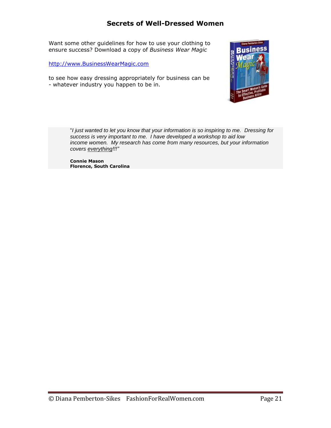Want some other guidelines for how to use your clothing to ensure success? Download a copy of *Business Wear Magic*

[http://www.BusinessWearMagic.com](http://www.businesswearmagic.com/)

to see how easy dressing appropriately for business can be - whatever industry you happen to be in.



"*I just wanted to let you know that your information is so inspiring to me. Dressing for success is very important to me. I have developed a workshop to aid low income women. My research has come from many resources, but your information covers everything!!!"*

**Connie Mason Florence, South Carolina**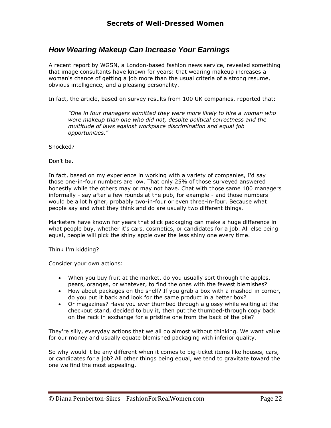# <span id="page-21-0"></span>*How Wearing Makeup Can Increase Your Earnings*

A recent report by WGSN, a London-based fashion news service, revealed something that image consultants have known for years: that wearing makeup increases a woman's chance of getting a job more than the usual criteria of a strong resume, obvious intelligence, and a pleasing personality.

In fact, the article, based on survey results from 100 UK companies, reported that:

*"One in four managers admitted they were more likely to hire a woman who wore makeup than one who did not, despite political correctness and the multitude of laws against workplace discrimination and equal job opportunities."*

Shocked?

Don't be.

In fact, based on my experience in working with a variety of companies, I'd say those one-in-four numbers are low. That only 25% of those surveyed answered honestly while the others may or may not have. Chat with those same 100 managers informally - say after a few rounds at the pub, for example - and those numbers would be a lot higher, probably two-in-four or even three-in-four. Because what people say and what they think and do are usually two different things.

Marketers have known for years that slick packaging can make a huge difference in what people buy, whether it's cars, cosmetics, or candidates for a job. All else being equal, people will pick the shiny apple over the less shiny one every time.

Think I'm kidding?

Consider your own actions:

- When you buy fruit at the market, do you usually sort through the apples, pears, oranges, or whatever, to find the ones with the fewest blemishes?
- How about packages on the shelf? If you grab a box with a mashed-in corner, do you put it back and look for the same product in a better box?
- Or magazines? Have you ever thumbed through a glossy while waiting at the checkout stand, decided to buy it, then put the thumbed-through copy back on the rack in exchange for a pristine one from the back of the pile?

They're silly, everyday actions that we all do almost without thinking. We want value for our money and usually equate blemished packaging with inferior quality.

So why would it be any different when it comes to big-ticket items like houses, cars, or candidates for a job? All other things being equal, we tend to gravitate toward the one we find the most appealing.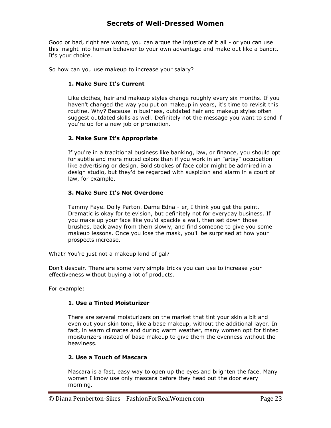Good or bad, right are wrong, you can argue the injustice of it all - or you can use this insight into human behavior to your own advantage and make out like a bandit. It's your choice.

So how can you use makeup to increase your salary?

#### **1. Make Sure It's Current**

Like clothes, hair and makeup styles change roughly every six months. If you haven't changed the way you put on makeup in years, it's time to revisit this routine. Why? Because in business, outdated hair and makeup styles often suggest outdated skills as well. Definitely not the message you want to send if you're up for a new job or promotion.

#### **2. Make Sure It's Appropriate**

If you're in a traditional business like banking, law, or finance, you should opt for subtle and more muted colors than if you work in an "artsy" occupation like advertising or design. Bold strokes of face color might be admired in a design studio, but they'd be regarded with suspicion and alarm in a court of law, for example.

#### **3. Make Sure It's Not Overdone**

Tammy Faye. Dolly Parton. Dame Edna - er, I think you get the point. Dramatic is okay for television, but definitely not for everyday business. If you make up your face like you'd spackle a wall, then set down those brushes, back away from them slowly, and find someone to give you some makeup lessons. Once you lose the mask, you'll be surprised at how your prospects increase.

What? You're just not a makeup kind of gal?

Don't despair. There are some very simple tricks you can use to increase your effectiveness without buying a lot of products.

For example:

#### **1. Use a Tinted Moisturizer**

There are several moisturizers on the market that tint your skin a bit and even out your skin tone, like a base makeup, without the additional layer. In fact, in warm climates and during warm weather, many women opt for tinted moisturizers instead of base makeup to give them the evenness without the heaviness.

#### **2. Use a Touch of Mascara**

Mascara is a fast, easy way to open up the eyes and brighten the face. Many women I know use only mascara before they head out the door every morning.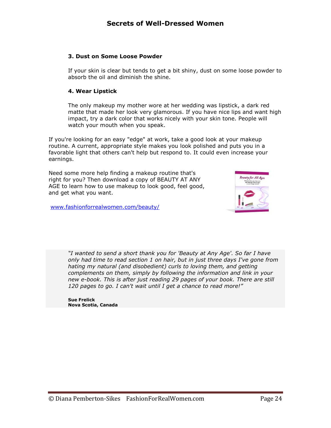#### **3. Dust on Some Loose Powder**

If your skin is clear but tends to get a bit shiny, dust on some loose powder to absorb the oil and diminish the shine.

#### **4. Wear Lipstick**

The only makeup my mother wore at her wedding was lipstick, a dark red matte that made her look very glamorous. If you have nice lips and want high impact, try a dark color that works nicely with your skin tone. People will watch your mouth when you speak.

If you're looking for an easy "edge" at work, take a good look at your makeup routine. A current, appropriate style makes you look polished and puts you in a favorable light that others can't help but respond to. It could even increase your earnings.

Need some more help finding a makeup routine that's right for you? Then download a copy of BEAUTY AT ANY AGE to learn how to use makeup to look good, feel good, and get what you want.



[www.fashionforrealwomen.com/beauty/](file:///C:/Users/Diana/Documents/Clothing%20Chronicles/www.fashionforrealwomen.com/beauty/)

*"I wanted to send a short thank you for 'Beauty at Any Age'. So far I have only had time to read section 1 on hair, but in just three days I've gone from hating my natural (and disobedient) curls to loving them, and getting complements on them, simply by following the information and link in your new e-book. This is after just reading 29 pages of your book. There are still 120 pages to go. I can't wait until I get a chance to read more!"*

**Sue Frelick Nova Scotia, Canada**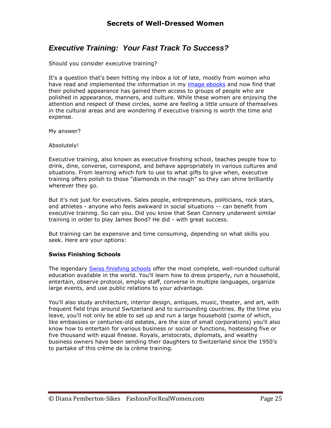# <span id="page-24-0"></span>*Executive Training: Your Fast Track To Success?*

Should you consider executive training?

It's a question that's been hitting my inbox a lot of late, mostly from women who have read and implemented the information in my [image ebooks](http://fashionforrealwomen.com/Products.html) and now find that their polished appearance has gained them access to groups of people who are polished in appearance, manners, and culture. While these women are enjoying the attention and respect of these circles, some are feeling a little unsure of themselves in the cultural areas and are wondering if executive training is worth the time and expense.

My answer?

Absolutely!

Executive training, also known as executive finishing school, teaches people how to drink, dine, converse, correspond, and behave appropriately in various cultures and situations. From learning which fork to use to what gifts to give when, executive training offers polish to those "diamonds in the rough" so they can shine brilliantly wherever they go.

But it's not just for executives. Sales people, entrepreneurs, politicians, rock stars, and athletes - anyone who feels awkward in social situations -- can benefit from executive training. So can you. Did you know that Sean Connery underwent similar training in order to play James Bond? He did - with great success.

But training can be expensive and time consuming, depending on what skills you seek. Here are your options:

#### **Swiss Finishing Schools**

The legendary [Swiss finishing schools](http://www.ivpworld.com/en/default.asp) offer the most complete, well-rounded cultural education available in the world. You'll learn how to dress properly, run a household, entertain, observe protocol, employ staff, converse in multiple languages, organize large events, and use public relations to your advantage.

You'll also study architecture, interior design, antiques, music, theater, and art, with frequent field trips around Switzerland and to surrounding countries. By the time you leave, you'll not only be able to set up and run a large household (some of which, like embassies or centuries-old estates, are the size of small corporations) you'll also know how to entertain for various business or social or functions, hostessing five or five thousand with equal finesse. Royals, aristocrats, diplomats, and wealthy business owners have been sending their daughters to Switzerland since the 1950's to partake of this crème de la crème training.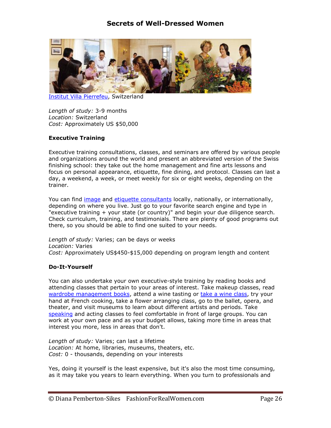

[Institut Villa Pierrefeu,](http://www.ivpworld.com/en/default.asp) Switzerland

*Length of study:* 3-9 months *Location:* Switzerland *Cost:* Approximately US \$50,000

#### **Executive Training**

Executive training consultations, classes, and seminars are offered by various people and organizations around the world and present an abbreviated version of the Swiss finishing school: they take out the home management and fine arts lessons and focus on personal appearance, etiquette, fine dining, and protocol. Classes can last a day, a weekend, a week, or meet weekly for six or eight weeks, depending on the trainer.

You can find *image* and *etiquette consultants* locally, nationally, or internationally, depending on where you live. Just go to your favorite search engine and type in "executive training + your state (or country)" and begin your due diligence search. Check curriculum, training, and testimonials. There are plenty of good programs out there, so you should be able to find one suited to your needs.

*Length of study:* Varies; can be days or weeks *Location:* Varies *Cost:* Approximately US\$450-\$15,000 depending on program length and content

#### **Do-It-Yourself**

You can also undertake your own executive-style training by reading books and attending classes that pertain to your areas of interest. Take makeup classes, read [wardrobe management books,](http://fashionforrealwomen.com/Products.html) attend a wine tasting or [take a wine class,](http://winedegree.com/wx3/index.php?Partner=DianaPSikes) try your hand at French cooking, take a flower arranging class, go to the ballet, opera, and theater, and visit museums to learn about different artists and periods. Take [speaking](http://www.kickstartcart.com/app/?af=332840) and acting classes to feel comfortable in front of large groups. You can work at your own pace and as your budget allows, taking more time in areas that interest you more, less in areas that don't.

*Length of study:* Varies; can last a lifetime *Location:* At home, libraries, museums, theaters, etc. *Cost:* 0 - thousands, depending on your interests

Yes, doing it yourself is the least expensive, but it's also the most time consuming, as it may take you years to learn everything. When you turn to professionals and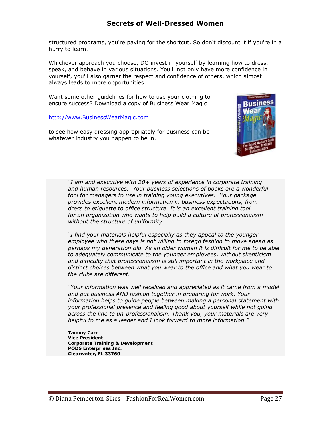structured programs, you're paying for the shortcut. So don't discount it if you're in a hurry to learn.

Whichever approach you choose, DO invest in yourself by learning how to dress, speak, and behave in various situations. You'll not only have more confidence in yourself, you'll also garner the respect and confidence of others, which almost always leads to more opportunities.

Want some other guidelines for how to use your clothing to ensure success? Download a copy of Business Wear Magic

[http://www.BusinessWearMagic.com](http://www.businesswearmagic.com/)

to see how easy dressing appropriately for business can be whatever industry you happen to be in.



*"I am and executive with 20+ years of experience in corporate training and human resources. Your business selections of books are a wonderful tool for managers to use in training young executives. Your package provides excellent modern information in business expectations, from dress to etiquette to office structure. It is an excellent training tool for an organization who wants to help build a culture of professionalism without the structure of uniformity.*

*"I find your materials helpful especially as they appeal to the younger employee who these days is not willing to forego fashion to move ahead as perhaps my generation did. As an older woman it is difficult for me to be able to adequately communicate to the younger employees, without skepticism and difficulty that professionalism is still important in the workplace and distinct choices between what you wear to the office and what you wear to the clubs are different.*

*"Your information was well received and appreciated as it came from a model and put business AND fashion together in preparing for work. Your information helps to guide people between making a personal statement with your professional presence and feeling good about yourself while not going across the line to un-professionalism. Thank you, your materials are very helpful to me as a leader and I look forward to more information."*

**Tammy Carr Vice President Corporate Training & Development PODS Enterprises Inc. Clearwater, FL 33760**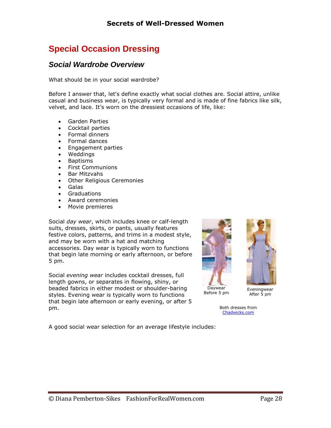# <span id="page-27-0"></span>**Special Occasion Dressing**

## <span id="page-27-1"></span>*Social Wardrobe Overview*

What should be in your social wardrobe?

Before I answer that, let's define exactly what social clothes are. Social attire, unlike casual and business wear, is typically very formal and is made of fine fabrics like silk, velvet, and lace. It's worn on the dressiest occasions of life, like:

- Garden Parties
- Cocktail parties
- Formal dinners
- Formal dances
- Engagement parties
- Weddings
- Baptisms
- First Communions
- Bar Mitzvahs
- Other Religious Ceremonies
- Galas
- Graduations
- Award ceremonies
- Movie premieres

Social *day wear*, which includes knee or calf-length suits, dresses, skirts, or pants, usually features festive colors, patterns, and trims in a modest style, and may be worn with a hat and matching accessories. Day wear is typically worn to functions that begin late morning or early afternoon, or before 5 pm.

Social *evening wear* includes cocktail dresses, full length gowns, or separates in flowing, shiny, or beaded fabrics in either modest or shoulder-baring styles. Evening wear is typically worn to functions that begin late afternoon or early evening, or after 5 pm.



Both dresses from [Chadwicks.com](http://clickserve.cc-dt.com/link/click?lid=41000000008968368)

A good social wear selection for an average lifestyle includes: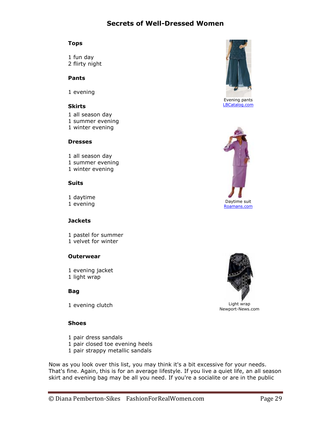#### **Tops**

1 fun day 2 flirty night

#### **Pants**

1 evening

#### **Skirts**

1 all season day 1 summer evening 1 winter evening

#### **Dresses**

1 all season day 1 summer evening 1 winter evening

#### **Suits**

1 daytime

#### **Jackets**

1 pastel for summer 1 velvet for winter

#### **Outerwear**

1 evening jacket 1 light wrap

#### **Bag**

1 evening clutch Light wrap

#### **Shoes**

- 1 pair dress sandals
- 1 pair closed toe evening heels
- 1 pair strappy metallic sandals

Now as you look over this list, you may think it's a bit excessive for your needs. That's fine. Again, this is for an average lifestyle. If you live a quiet life, an all season skirt and evening bag may be all you need. If you're a socialite or are in the public



Evening pants [LBCatalog.com](http://clickserve.cc-dt.com/link/click?lid=41000000008968370)





Newport-News.com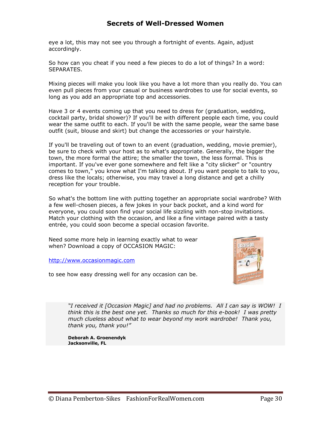eye a lot, this may not see you through a fortnight of events. Again, adjust accordingly.

So how can you cheat if you need a few pieces to do a lot of things? In a word: SEPARATES.

Mixing pieces will make you look like you have a lot more than you really do. You can even pull pieces from your casual or business wardrobes to use for social events, so long as you add an appropriate top and accessories.

Have 3 or 4 events coming up that you need to dress for (graduation, wedding, cocktail party, bridal shower)? If you'll be with different people each time, you could wear the same outfit to each. If you'll be with the same people, wear the same base outfit (suit, blouse and skirt) but change the accessories or your hairstyle.

If you'll be traveling out of town to an event (graduation, wedding, movie premier), be sure to check with your host as to what's appropriate. Generally, the bigger the town, the more formal the attire; the smaller the town, the less formal. This is important. If you've ever gone somewhere and felt like a "city slicker" or "country comes to town," you know what I'm talking about. If you want people to talk to you, dress like the locals; otherwise, you may travel a long distance and get a chilly reception for your trouble.

So what's the bottom line with putting together an appropriate social wardrobe? With a few well-chosen pieces, a few jokes in your back pocket, and a kind word for everyone, you could soon find your social life sizzling with non-stop invitations. Match your clothing with the occasion, and like a fine vintage paired with a tasty entrée, you could soon become a special occasion favorite.

Need some more help in learning exactly what to wear when? Download a copy of OCCASION MAGIC:

[http://www.occasionmagic.com](http://www.occasionmagic.com/)

to see how easy dressing well for any occasion can be.



*"I received it [Occasion Magic] and had no problems. All I can say is WOW! I think this is the best one yet. Thanks so much for this e-book! I was pretty much clueless about what to wear beyond my work wardrobe! Thank you, thank you, thank you!"*

**Deborah A. Groenendyk Jacksonville, FL**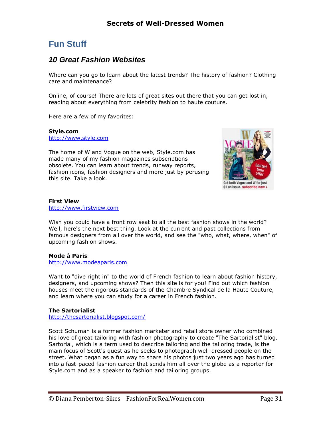# <span id="page-30-0"></span>**Fun Stuff**

## <span id="page-30-1"></span>*10 Great Fashion Websites*

Where can you go to learn about the latest trends? The history of fashion? Clothing care and maintenance?

Online, of course! There are lots of great sites out there that you can get lost in, reading about everything from celebrity fashion to haute couture.

Here are a few of my favorites:

**Style.com** [http://www.style.com](http://www.style.com/) 

The home of W and Vogue on the web, Style.com has made many of my fashion magazines subscriptions obsolete. You can learn about trends, runway reports, fashion icons, fashion designers and more just by perusing this site. Take a look.



**First View** [http://www.firstview.com](http://www.firstview.com/)

Wish you could have a front row seat to all the best fashion shows in the world? Well, here's the next best thing. Look at the current and past collections from famous designers from all over the world, and see the "who, what, where, when" of upcoming fashion shows.

#### **Mode à Paris**

[http://www.modeaparis.com](http://www.modeaparis.com/)

Want to "dive right in" to the world of French fashion to learn about fashion history, designers, and upcoming shows? Then this site is for you! Find out which fashion houses meet the rigorous standards of the Chambre Syndical de la Haute Couture, and learn where you can study for a career in French fashion.

#### **The Sartorialist**

<http://thesartorialist.blogspot.com/>

Scott Schuman is a former fashion marketer and retail store owner who combined his love of great tailoring with fashion photography to create "The Sartorialist" blog. Sartorial, which is a term used to describe tailoring and the tailoring trade, is the main focus of Scott's quest as he seeks to photograph well-dressed people on the street. What began as a fun way to share his photos just two years ago has turned into a fast-paced fashion career that sends him all over the globe as a reporter for Style.com and as a speaker to fashion and tailoring groups.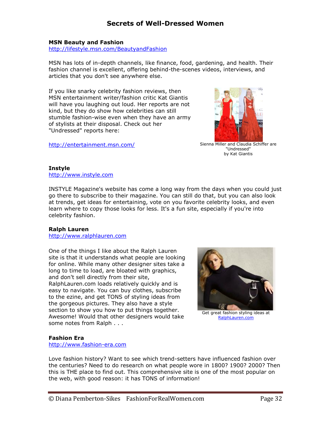#### **MSN Beauty and Fashion**

<http://lifestyle.msn.com/BeautyandFashion>

MSN has lots of in-depth channels, like finance, food, gardening, and health. Their fashion channel is excellent, offering behind-the-scenes videos, interviews, and articles that you don't see anywhere else.

If you like snarky celebrity fashion reviews, then MSN entertainment writer/fashion critic Kat Giantis will have you laughing out loud. Her reports are not kind, but they do show how celebrities can still stumble fashion-wise even when they have an army of stylists at their disposal. Check out her "Undressed" reports here:

<http://entertainment.msn.com/> Sienna Miller and Claudia Schiffer are



"Undressed" by Kat Giantis

#### **Instyle**

[http://www.instyle.com](http://www.instyle.com/)

INSTYLE Magazine's website has come a long way from the days when you could just go there to subscribe to their magazine. You can still do that, but you can also look at trends, get ideas for entertaining, vote on you favorite celebrity looks, and even learn where to copy those looks for less. It's a fun site, especially if you're into celebrity fashion.

#### **Ralph Lauren**

[http://www.ralphlauren.com](http://www.ralphlauren.com/)

One of the things I like about the Ralph Lauren site is that it understands what people are looking for online. While many other designer sites take a long to time to load, are bloated with graphics, and don't sell directly from their site, RalphLauren.com loads relatively quickly and is easy to navigate. You can buy clothes, subscribe to the ezine, and get TONS of styling ideas from the gorgeous pictures. They also have a style section to show you how to put things together. Awesome! Would that other designers would take some notes from Ralph . . .



Get great fashion styling ideas at [RalphLauren.com](http://www.ralphlauren.com/)

#### **Fashion Era**

[http://www.fashion-era.com](http://www.fashion-era.com/)

Love fashion history? Want to see which trend-setters have influenced fashion over the centuries? Need to do research on what people wore in 1800? 1900? 2000? Then this is THE place to find out. This comprehensive site is one of the most popular on the web, with good reason: it has TONS of information!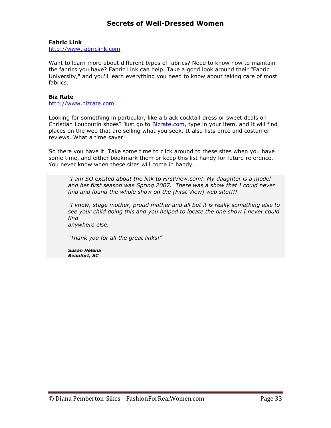#### **Fabric Link**

[http://www.fabriclink.com](http://www.fabriclink.com/)

Want to learn more about different types of fabrics? Need to know how to maintain the fabrics you have? Fabric Link can help. Take a good look around their "Fabric University," and you'll learn everything you need to know about taking care of most fabrics.

#### **Biz Rate**

[http://www.bizrate.com](http://www.bizrate.com/)

Looking for something in particular, like a black cocktail dress or sweet deals on Christian Louboutin shoes? Just go to **Bizrate.com**, type in your item, and it will find places on the web that are selling what you seek. It also lists price and costumer reviews. What a time saver!

So there you have it. Take some time to click around to these sites when you have some time, and either bookmark them or keep this list handy for future reference. You never know when these sites will come in handy.

*"I am SO excited about the link to FirstView.com! My daughter is a model and her first season was Spring 2007. There was a show that I could never find and found the whole show on the [First View] web site!!!!*

*"I know, stage mother, proud mother and all but it is really something else to see your child doing this and you helped to locate the one show I never could find* 

*anywhere else.*

*"Thank you for all the great links!"*

*Susan Helena Beaufort, SC*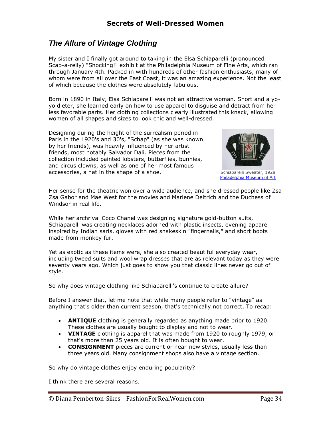# <span id="page-33-0"></span>*The Allure of Vintage Clothing*

My sister and I finally got around to taking in the Elsa Schiaparelli (pronounced Scap-a-relly) "Shocking!" exhibit at the Philadelphia Museum of Fine Arts, which ran through January 4th. Packed in with hundreds of other fashion enthusiasts, many of whom were from all over the East Coast, it was an amazing experience. Not the least of which because the clothes were absolutely fabulous.

Born in 1890 in Italy, Elsa Schiaparelli was not an attractive woman. Short and a yoyo dieter, she learned early on how to use apparel to disguise and detract from her less favorable parts. Her clothing collections clearly illustrated this knack, allowing women of all shapes and sizes to look chic and well-dressed.

Designing during the height of the surrealism period in Paris in the 1920's and 30's, "Schap" (as she was known by her friends), was heavily influenced by her artist friends, most notably Salvador Dali. Pieces from the collection included painted lobsters, butterflies, bunnies, and circus clowns, as well as one of her most famous accessories, a hat in the shape of a shoe. The social system is schiaparelli Sweater, 1928



[Philadelphia Museum of Art](http://www.philamuseum.org/collections/permanent/132792.html)

Her sense for the theatric won over a wide audience, and she dressed people like Zsa Zsa Gabor and Mae West for the movies and Marlene Deitrich and the Duchess of Windsor in real life.

While her archrival Coco Chanel was designing signature gold-button suits, Schiaparelli was creating necklaces adorned with plastic insects, evening apparel inspired by Indian saris, gloves with red snakeskin "fingernails," and short boots made from monkey fur.

Yet as exotic as these items were, she also created beautiful everyday wear, including tweed suits and wool wrap dresses that are as relevant today as they were seventy years ago. Which just goes to show you that classic lines never go out of style.

So why does vintage clothing like Schiaparelli's continue to create allure?

Before I answer that, let me note that while many people refer to "vintage" as anything that's older than current season, that's technically not correct. To recap:

- **ANTIQUE** clothing is generally regarded as anything made prior to 1920. These clothes are usually bought to display and not to wear.
- **VINTAGE** clothing is apparel that was made from 1920 to roughly 1979, or that's more than 25 years old. It is often bought to wear.
- **CONSIGNMENT** pieces are current or near-new styles, usually less than three years old. Many consignment shops also have a vintage section.

So why do vintage clothes enjoy enduring popularity?

I think there are several reasons.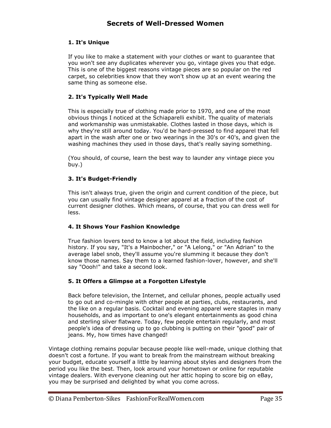#### **1. It's Unique**

If you like to make a statement with your clothes or want to guarantee that you won't see any duplicates wherever you go, vintage gives you that edge. This is one of the biggest reasons vintage pieces are so popular on the red carpet, so celebrities know that they won't show up at an event wearing the same thing as someone else.

#### **2. It's Typically Well Made**

This is especially true of clothing made prior to 1970, and one of the most obvious things I noticed at the Schiaparelli exhibit. The quality of materials and workmanship was unmistakable. Clothes lasted in those days, which is why they're still around today. You'd be hard-pressed to find apparel that fell apart in the wash after one or two wearings in the 30's or 40's, and given the washing machines they used in those days, that's really saying something.

(You should, of course, learn the best way to launder any vintage piece you buy.)

#### **3. It's Budget-Friendly**

This isn't always true, given the origin and current condition of the piece, but you can usually find vintage designer apparel at a fraction of the cost of current designer clothes. Which means, of course, that you can dress well for less.

#### **4. It Shows Your Fashion Knowledge**

True fashion lovers tend to know a lot about the field, including fashion history. If you say, "It's a Mainbocher," or "A Lelong," or "An Adrian" to the average label snob, they'll assume you're slumming it because they don't know those names. Say them to a learned fashion-lover, however, and she'll say "Oooh!" and take a second look.

### **5. It Offers a Glimpse at a Forgotten Lifestyle**

Back before television, the Internet, and cellular phones, people actually used to go out and co-mingle with other people at parties, clubs, restaurants, and the like on a regular basis. Cocktail and evening apparel were staples in many households, and as important to one's elegant entertainments as good china and sterling silver flatware. Today, few people entertain regularly, and most people's idea of dressing up to go clubbing is putting on their "good" pair of jeans. My, how times have changed!

Vintage clothing remains popular because people like well-made, unique clothing that doesn't cost a fortune. If you want to break from the mainstream without breaking your budget, educate yourself a little by learning about styles and designers from the period you like the best. Then, look around your hometown or online for reputable vintage dealers. With everyone cleaning out her attic hoping to score big on eBay, you may be surprised and delighted by what you come across.